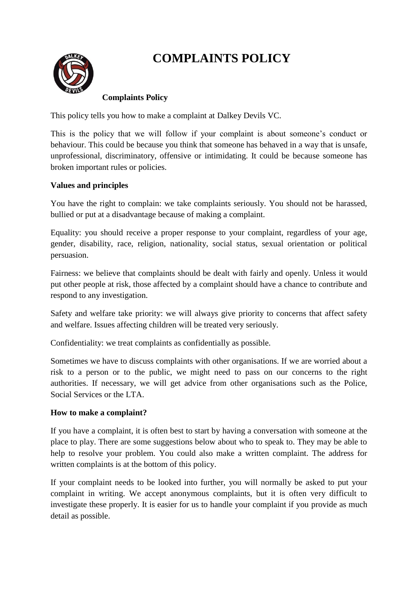# **COMPLAINTS POLICY**



# **Complaints Policy**

This policy tells you how to make a complaint at Dalkey Devils VC.

This is the policy that we will follow if your complaint is about someone's conduct or behaviour. This could be because you think that someone has behaved in a way that is unsafe, unprofessional, discriminatory, offensive or intimidating. It could be because someone has broken important rules or policies.

### **Values and principles**

You have the right to complain: we take complaints seriously. You should not be harassed, bullied or put at a disadvantage because of making a complaint.

Equality: you should receive a proper response to your complaint, regardless of your age, gender, disability, race, religion, nationality, social status, sexual orientation or political persuasion.

Fairness: we believe that complaints should be dealt with fairly and openly. Unless it would put other people at risk, those affected by a complaint should have a chance to contribute and respond to any investigation.

Safety and welfare take priority: we will always give priority to concerns that affect safety and welfare. Issues affecting children will be treated very seriously.

Confidentiality: we treat complaints as confidentially as possible.

Sometimes we have to discuss complaints with other organisations. If we are worried about a risk to a person or to the public, we might need to pass on our concerns to the right authorities. If necessary, we will get advice from other organisations such as the Police, Social Services or the LTA.

#### **How to make a complaint?**

If you have a complaint, it is often best to start by having a conversation with someone at the place to play. There are some suggestions below about who to speak to. They may be able to help to resolve your problem. You could also make a written complaint. The address for written complaints is at the bottom of this policy.

If your complaint needs to be looked into further, you will normally be asked to put your complaint in writing. We accept anonymous complaints, but it is often very difficult to investigate these properly. It is easier for us to handle your complaint if you provide as much detail as possible.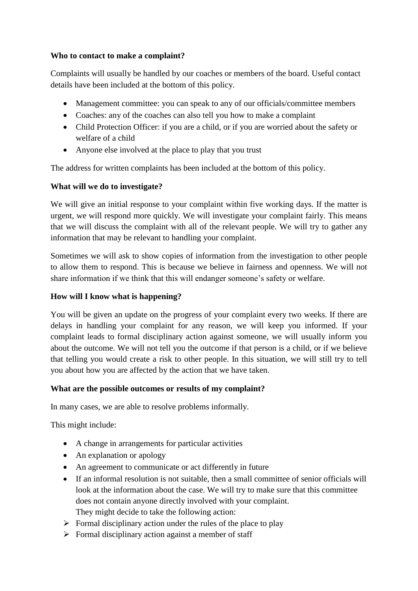#### **Who to contact to make a complaint?**

Complaints will usually be handled by our coaches or members of the board. Useful contact details have been included at the bottom of this policy.

- Management committee: you can speak to any of our officials/committee members
- Coaches: any of the coaches can also tell you how to make a complaint
- Child Protection Officer: if you are a child, or if you are worried about the safety or welfare of a child
- Anyone else involved at the place to play that you trust

The address for written complaints has been included at the bottom of this policy.

## **What will we do to investigate?**

We will give an initial response to your complaint within five working days. If the matter is urgent, we will respond more quickly. We will investigate your complaint fairly. This means that we will discuss the complaint with all of the relevant people. We will try to gather any information that may be relevant to handling your complaint.

Sometimes we will ask to show copies of information from the investigation to other people to allow them to respond. This is because we believe in fairness and openness. We will not share information if we think that this will endanger someone's safety or welfare.

## **How will I know what is happening?**

You will be given an update on the progress of your complaint every two weeks. If there are delays in handling your complaint for any reason, we will keep you informed. If your complaint leads to formal disciplinary action against someone, we will usually inform you about the outcome. We will not tell you the outcome if that person is a child, or if we believe that telling you would create a risk to other people. In this situation, we will still try to tell you about how you are affected by the action that we have taken.

## **What are the possible outcomes or results of my complaint?**

In many cases, we are able to resolve problems informally.

This might include:

- A change in arrangements for particular activities
- An explanation or apology
- An agreement to communicate or act differently in future
- If an informal resolution is not suitable, then a small committee of senior officials will look at the information about the case. We will try to make sure that this committee does not contain anyone directly involved with your complaint. They might decide to take the following action:
- $\triangleright$  Formal disciplinary action under the rules of the place to play
- $\triangleright$  Formal disciplinary action against a member of staff